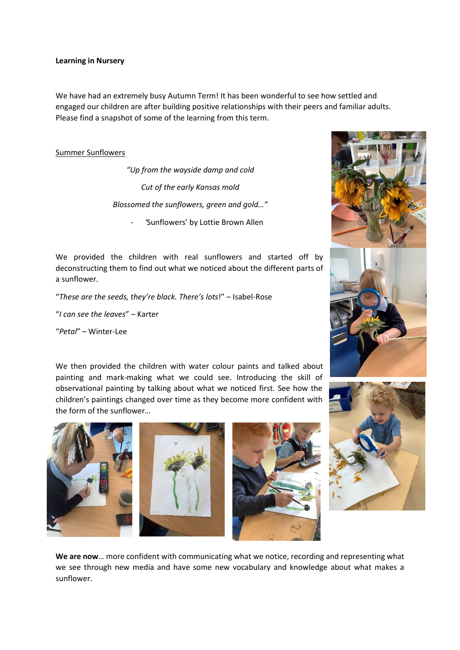### **Learning in Nursery**

We have had an extremely busy Autumn Term! It has been wonderful to see how settled and engaged our children are after building positive relationships with their peers and familiar adults. Please find a snapshot of some of the learning from this term.

## Summer Sunflowers

*"Up from the wayside damp and cold Cut of the early Kansas mold Blossomed the sunflowers, green and gold…"*

- *'*Sunflowers' by Lottie Brown Allen

We provided the children with real sunflowers and started off by deconstructing them to find out what we noticed about the different parts of a sunflower.

"*These are the seeds, they're black. There's lots*!" – Isabel-Rose

"*I can see the leaves*" – Karter

"*Petal*" – Winter-Lee

We then provided the children with water colour paints and talked about painting and mark-making what we could see. Introducing the skill of observational painting by talking about what we noticed first. See how the children's paintings changed over time as they become more confident with the form of the sunflower…









**We are now**… more confident with communicating what we notice, recording and representing what we see through new media and have some new vocabulary and knowledge about what makes a sunflower.